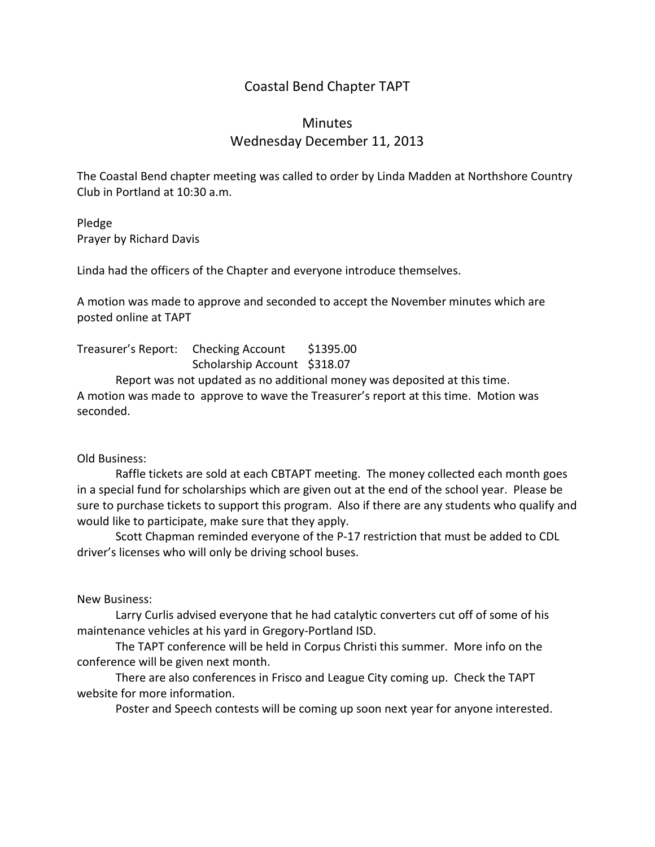## Coastal Bend Chapter TAPT

## **Minutes** Wednesday December 11, 2013

The Coastal Bend chapter meeting was called to order by Linda Madden at Northshore Country Club in Portland at 10:30 a.m.

Pledge Prayer by Richard Davis

Linda had the officers of the Chapter and everyone introduce themselves.

A motion was made to approve and seconded to accept the November minutes which are posted online at TAPT

Treasurer's Report: Checking Account \$1395.00 Scholarship Account \$318.07

Report was not updated as no additional money was deposited at this time. A motion was made to approve to wave the Treasurer's report at this time. Motion was seconded.

## Old Business:

Raffle tickets are sold at each CBTAPT meeting. The money collected each month goes in a special fund for scholarships which are given out at the end of the school year. Please be sure to purchase tickets to support this program. Also if there are any students who qualify and would like to participate, make sure that they apply.

Scott Chapman reminded everyone of the P-17 restriction that must be added to CDL driver's licenses who will only be driving school buses.

New Business:

Larry Curlis advised everyone that he had catalytic converters cut off of some of his maintenance vehicles at his yard in Gregory-Portland ISD.

The TAPT conference will be held in Corpus Christi this summer. More info on the conference will be given next month.

There are also conferences in Frisco and League City coming up. Check the TAPT website for more information.

Poster and Speech contests will be coming up soon next year for anyone interested.